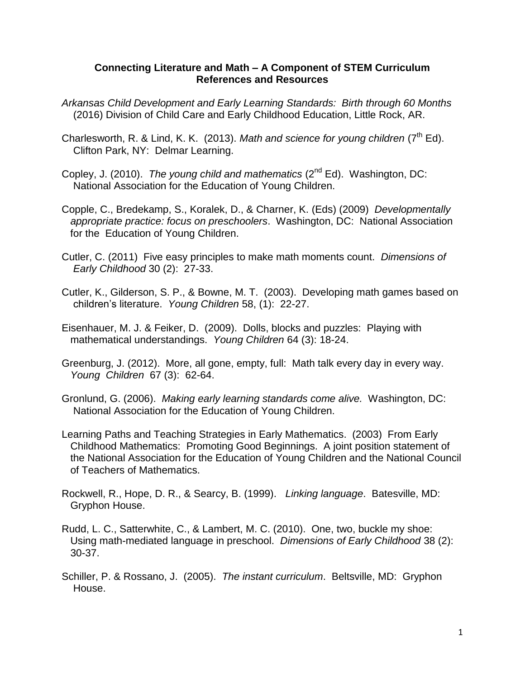## **Connecting Literature and Math – A Component of STEM Curriculum References and Resources**

- *Arkansas Child Development and Early Learning Standards: Birth through 60 Months* (2016) Division of Child Care and Early Childhood Education, Little Rock, AR.
- Charlesworth, R. & Lind, K. K. (2013). Math and science for young children (7<sup>th</sup> Ed). Clifton Park, NY: Delmar Learning.
- Copley, J. (2010). *The young child and mathematics* (2nd Ed). Washington, DC: National Association for the Education of Young Children.
- Copple, C., Bredekamp, S., Koralek, D., & Charner, K. (Eds) (2009) *Developmentally appropriate practice: focus on preschoolers*. Washington, DC: National Association for the Education of Young Children.
- Cutler, C. (2011) Five easy principles to make math moments count. *Dimensions of Early Childhood* 30 (2): 27-33.
- Cutler, K., Gilderson, S. P., & Bowne, M. T. (2003). Developing math games based on children's literature. *Young Children* 58, (1): 22-27.
- Eisenhauer, M. J. & Feiker, D. (2009). Dolls, blocks and puzzles: Playing with mathematical understandings. *Young Children* 64 (3): 18-24.
- Greenburg, J. (2012). More, all gone, empty, full: Math talk every day in every way.  *Young Children* 67 (3): 62-64.
- Gronlund, G. (2006). *Making early learning standards come alive.* Washington, DC: National Association for the Education of Young Children.
- Learning Paths and Teaching Strategies in Early Mathematics. (2003) From Early Childhood Mathematics: Promoting Good Beginnings. A joint position statement of the National Association for the Education of Young Children and the National Council of Teachers of Mathematics.
- Rockwell, R., Hope, D. R., & Searcy, B. (1999). *Linking language*. Batesville, MD: Gryphon House.
- Rudd, L. C., Satterwhite, C., & Lambert, M. C. (2010). One, two, buckle my shoe: Using math-mediated language in preschool. *Dimensions of Early Childhood* 38 (2): 30-37.
- Schiller, P. & Rossano, J. (2005). *The instant curriculum*. Beltsville, MD: Gryphon House.